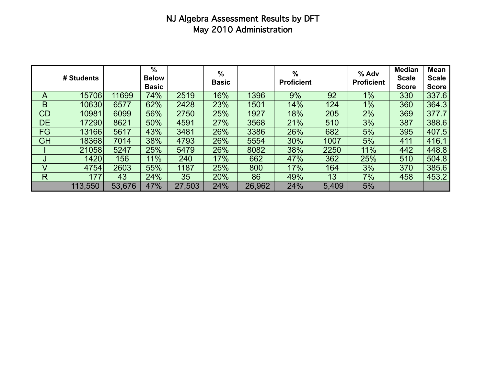# NJ Algebra Assessment Results by DFT May 2010 Administration

|              | # Students |        | %<br><b>Below</b><br><b>Basic</b> |        | %<br><b>Basic</b> |        | %<br><b>Proficient</b> |       | % Adv<br><b>Proficient</b> | <b>Median</b><br><b>Scale</b><br><b>Score</b> | Mean<br><b>Scale</b><br><b>Score</b> |
|--------------|------------|--------|-----------------------------------|--------|-------------------|--------|------------------------|-------|----------------------------|-----------------------------------------------|--------------------------------------|
| A            | 15706      | 11699  | 74%                               | 2519   | 16%               | 1396   | 9%                     | 92    | $1\%$                      | 330                                           | 337.6                                |
| B            | 10630      | 6577   | 62%                               | 2428   | 23%               | 1501   | 14%                    | 124   | $1\%$                      | 360                                           | 364.3                                |
| CD           | 10981      | 6099   | 56%                               | 2750   | 25%               | 1927   | 18%                    | 205   | 2%                         | 369                                           | 377.7                                |
| <b>DE</b>    | 17290      | 8621   | 50%                               | 4591   | 27%               | 3568   | 21%                    | 510   | 3%                         | 387                                           | 388.6                                |
| <b>FG</b>    | 13166      | 5617   | 43%                               | 3481   | 26%               | 3386   | 26%                    | 682   | 5%                         | 395                                           | 407.5                                |
| <b>GH</b>    | 18368      | 7014   | 38%                               | 4793   | 26%               | 5554   | 30%                    | 1007  | 5%                         | 411                                           | 416.1                                |
|              | 21058      | 5247   | 25%                               | 5479   | 26%               | 8082   | 38%                    | 2250  | 11%                        | 442                                           | 448.8                                |
| J            | 1420       | 156    | 11%                               | 240    | 17%               | 662    | 47%                    | 362   | 25%                        | 510                                           | 504.8                                |
| V            | 4754       | 2603   | 55%                               | 1187   | 25%               | 800    | 17%                    | 164   | 3%                         | 370                                           | 385.6                                |
| $\mathsf{R}$ | 177        | 43     | 24%                               | 35     | 20%               | 86     | 49%                    | 13    | 7%                         | 458                                           | 453.2                                |
|              | 113,550    | 53,676 | 47%                               | 27,503 | 24%               | 26,962 | 24%                    | 5,409 | 5%                         |                                               |                                      |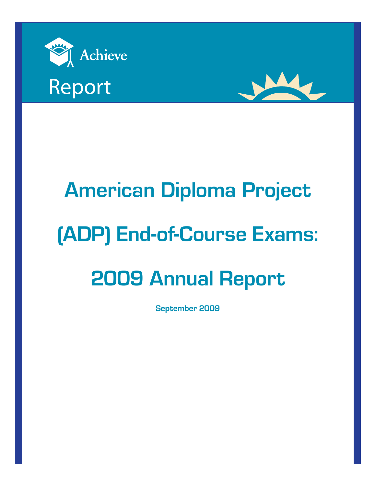





# **American Diploma Project (ADP) End-of-Course Exams: 2009 Annual Report**

**September 2009**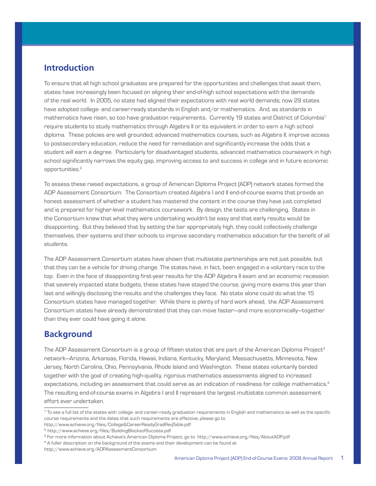# **Introduction**

To ensure that all high school graduates are prepared for the opportunities and challenges that await them, states have increasingly been focused on aligning their end-of-high school expectations with the demands of the real world. In 2005, no state had aligned their expectations with real world demands; now 29 states have adopted college- and career-ready standards in English and/or mathematics. And, as standards in mathematics have risen, so too have graduation requirements. Currently 19 states and District of Columbia<sup>1</sup> require students to study mathematics through Algebra II or its equivalent in order to earn a high school diploma. These policies are well grounded; advanced mathematics courses, such as Algebra II, improve access to postsecondary education, reduce the need for remediation and significantly increase the odds that a student will earn a degree. Particularly for disadvantaged students, advanced mathematics coursework in high school significantly narrows the equity gap, improving access to and success in college and in future economic opportunities.<sup>2</sup>

To assess these raised expectations, a group of American Diploma Project (ADP) network states formed the ADP Assessment Consortium. The Consortium created Algebra I and II end-of-course exams that provide an honest assessment of whether a student has mastered the content in the course they have just completed and is prepared for higher-level mathematics coursework. By design, the tests are challenging. States in the Consortium knew that what they were undertaking wouldn't be easy and that early results would be disappointing. But they believed that by setting the bar appropriately high, they could collectively challenge themselves, their systems and their schools to improve secondary mathematics education for the benefit of all students.

The ADP Assessment Consortium states have shown that multistate partnerships are not just possible, but that they can be a vehicle for driving change. The states have, in fact, been engaged in a voluntary race to the top. Even in the face of disappointing first-year results for the ADP Algebra II exam and an economic recession that severely impacted state budgets, these states have stayed the course, giving more exams this year than last and willingly disclosing the results and the challenges they face. No state alone could do what the 15 Consortium states have managed together. While there is plenty of hard work ahead, the ADP Assessment Consortium states have already demonstrated that they can move faster—and more economically—together than they ever could have going it alone.

# **Background**

The ADP Assessment Consortium is a group of fifteen states that are part of the American Diploma Project<sup>3</sup> network—Arizona, Arkansas, Florida, Hawaii, Indiana, Kentucky, Maryland, Massachusetts, Minnesota, New Jersey, North Carolina, Ohio, Pennsylvania, Rhode Island and Washington. These states voluntarily banded together with the goal of creating high-quality, rigorous mathematics assessments aligned to increased expectations, including an assessment that could serve as an indication of readiness for college mathematics.4 The resulting end-of-course exams in Algebra I and II represent the largest multistate common assessment effort ever undertaken.

<sup>1</sup> To see a full list of the states with college- and career-ready graduation requirements in English and mathematics as well as the specific course requirements and the dates that such requirements are effective, please go to

http://www.achieve.org/files/College&CareerReadyGradReqTable.pdf

<sup>2</sup> http://www.achieve.org/files/BuildingBlocksofSuccess.pdf

<sup>&</sup>lt;sup>3</sup> For more information about Achieve's American Diploma Project, go to http://www.achieve.org/files/AboutADP.pdf<br><sup>4</sup> A fuller description on the background of the exams and their development can be found at

http://www.achieve.org/ADPAssessmentConsortium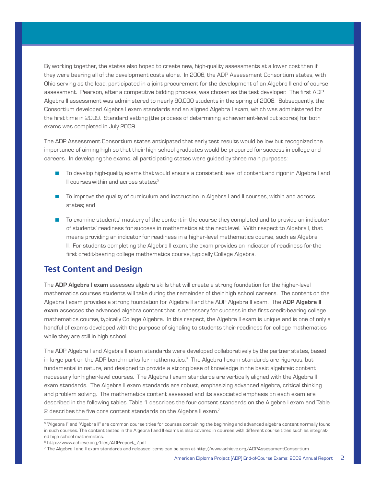By working together, the states also hoped to create new, high-quality assessments at a lower cost than if they were bearing all of the development costs alone. In 2006, the ADP Assessment Consortium states, with Ohio serving as the lead, participated in a joint procurement for the development of an Algebra II end-of-course assessment. Pearson, after a competitive bidding process, was chosen as the test developer. The first ADP Algebra II assessment was administered to nearly 90,000 students in the spring of 2008. Subsequently, the Consortium developed Algebra I exam standards and an aligned Algebra I exam, which was administered for the first time in 2009. Standard setting (the process of determining achievement-level cut scores) for both exams was completed in July 2009.

The ADP Assessment Consortium states anticipated that early test results would be low but recognized the importance of aiming high so that their high school graduates would be prepared for success in college and careers. In developing the exams, all participating states were guided by three main purposes:

- To develop high-quality exams that would ensure a consistent level of content and rigor in Algebra I and II courses within and across states.<sup>5</sup>
- n To improve the quality of curriculum and instruction in Algebra I and II courses, within and across states; and
- n To examine students' mastery of the content in the course they completed and to provide an indicator of students' readiness for success in mathematics at the next level. With respect to Algebra I, that means providing an indicator for readiness in a higher-level mathematics course, such as Algebra II. For students completing the Algebra II exam, the exam provides an indicator of readiness for the first credit-bearing college mathematics course, typically College Algebra.

# **Test Content and Design**

The **ADP Algebra I exam** assesses algebra skills that will create a strong foundation for the higher-level mathematics courses students will take during the remainder of their high school careers. The content on the Algebra I exam provides a strong foundation for Algebra II and the ADP Algebra II exam. The **ADP Algebra II exam** assesses the advanced algebra content that is necessary for success in the first credit-bearing college mathematics course, typically College Algebra. In this respect, the Algebra II exam is unique and is one of only a handful of exams developed with the purpose of signaling to students their readiness for college mathematics while they are still in high school.

The ADP Algebra I and Algebra II exam standards were developed collaboratively by the partner states, based in large part on the ADP benchmarks for mathematics.<sup>6</sup> The Algebra I exam standards are rigorous, but fundamental in nature, and designed to provide a strong base of knowledge in the basic algebraic content necessary for higher-level courses. The Algebra I exam standards are vertically aligned with the Algebra II exam standards. The Algebra II exam standards are robust, emphasizing advanced algebra, critical thinking and problem solving. The mathematics content assessed and its associated emphasis on each exam are described in the following tables. Table 1 describes the four content standards on the Algebra I exam and Table 2 describes the five core content standards on the Algebra II exam.<sup>7</sup>

<sup>&</sup>lt;sup>5</sup> "Algebra I" and "Algebra II" are common course titles for courses containing the beginning and advanced algebra content normally found in such courses. The content tested in the Algebra I and II exams is also covered in courses with different course titles such as integrated high school mathematics.

<sup>6</sup> http://www.achieve.org/files/ADPreport\_7.pdf

<sup>7</sup> The Algebra I and II exam standards and released items can be seen at http://www.achieve.org/ADPAssessmentConsortium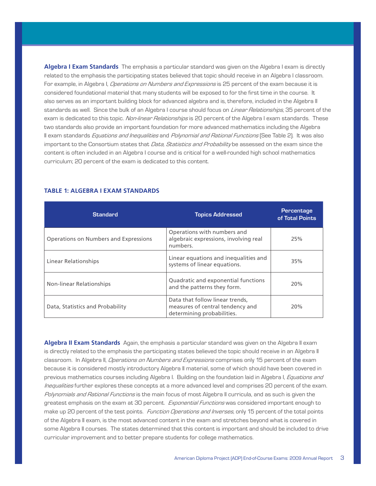**Algebra I Exam Standards** The emphasis a particular standard was given on the Algebra I exam is directly related to the emphasis the participating states believed that topic should receive in an Algebra I classroom. For example, in Algebra I, Operations on Numbers and Expressions is 25 percent of the exam because it is considered foundational material that many students will be exposed to for the first time in the course. It also serves as an important building block for advanced algebra and is, therefore, included in the Algebra II standards as well. Since the bulk of an Algebra I course should focus on *Linear Relationships*, 35 percent of the exam is dedicated to this topic. Non-linear Relationships is 20 percent of the Algebra I exam standards. These two standards also provide an important foundation for more advanced mathematics including the Algebra II exam standards *Equations and Inequalities* and *Polynomial and Rational Functions* (See Table 2). It was also important to the Consortium states that Data, Statistics and Probability be assessed on the exam since the content is often included in an Algebra I course and is critical for a well-rounded high school mathematics curriculum; 20 percent of the exam is dedicated to this content.

| <b>Standard</b>                       | <b>Topics Addressed</b>                                                                           | Percentage<br>of Total Points |
|---------------------------------------|---------------------------------------------------------------------------------------------------|-------------------------------|
| Operations on Numbers and Expressions | Operations with numbers and<br>algebraic expressions, involving real<br>numbers.                  | 25%                           |
| Linear Relationships                  | Linear equations and inequalities and<br>systems of linear equations.                             | 35%                           |
| Non-linear Relationships              | Quadratic and exponential functions<br>and the patterns they form.                                | 20%                           |
| Data, Statistics and Probability      | Data that follow linear trends,<br>measures of central tendency and<br>determining probabilities. | 20%                           |

#### **TABLE 1: ALGEBRA I EXAM STANDARDS**

**Algebra II Exam Standards** Again, the emphasis a particular standard was given on the Algebra II exam is directly related to the emphasis the participating states believed the topic should receive in an Algebra II classroom. In Algebra II, Operations on Numbers and Expressions comprises only 15 percent of the exam because it is considered mostly introductory Algebra II material, some of which should have been covered in previous mathematics courses including Algebra I. Building on the foundation laid in Algebra I, *Equations and* Inequalities further explores these concepts at a more advanced level and comprises 20 percent of the exam. Polynomials and Rational Functions is the main focus of most Algebra II curricula, and as such is given the greatest emphasis on the exam at 30 percent. Exponential Functions was considered important enough to make up 20 percent of the test points. Function Operations and Inverses, only 15 percent of the total points of the Algebra II exam, is the most advanced content in the exam and stretches beyond what is covered in some Algebra II courses. The states determined that this content is important and should be included to drive curricular improvement and to better prepare students for college mathematics.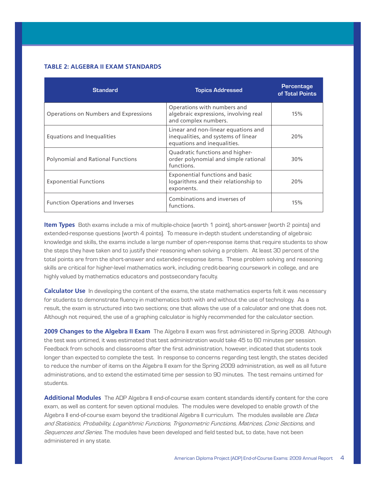#### **TABLE 2: ALGEBRA II EXAM STANDARDS**

| <b>Standard</b>                          | <b>Topics Addressed</b>                                                                                   | Percentage<br>of Total Points |
|------------------------------------------|-----------------------------------------------------------------------------------------------------------|-------------------------------|
| Operations on Numbers and Expressions    | Operations with numbers and<br>algebraic expressions, involving real<br>and complex numbers.              | 15%                           |
| Equations and Inequalities               | Linear and non-linear equations and<br>inequalities, and systems of linear<br>equations and inequalities. | 20%                           |
| <b>Polynomial and Rational Functions</b> | Quadratic functions and higher-<br>order polynomial and simple rational<br>functions.                     | 30%                           |
| <b>Exponential Functions</b>             | Exponential functions and basic<br>logarithms and their relationship to<br>exponents.                     | 20%                           |
| <b>Function Operations and Inverses</b>  | Combinations and inverses of<br>functions.                                                                | 15%                           |

**Item Types** Both exams include a mix of multiple-choice (worth 1 point), short-answer (worth 2 points) and extended-response questions (worth 4 points). To measure in-depth student understanding of algebraic knowledge and skills, the exams include a large number of open-response items that require students to show the steps they have taken and to justify their reasoning when solving a problem. At least 30 percent of the total points are from the short-answer and extended-response items. These problem solving and reasoning skills are critical for higher-level mathematics work, including credit-bearing coursework in college, and are highly valued by mathematics educators and postsecondary faculty.

**Calculator Use** In developing the content of the exams, the state mathematics experts felt it was necessary for students to demonstrate fluency in mathematics both with and without the use of technology. As a result, the exam is structured into two sections; one that allows the use of a calculator and one that does not. Although not required, the use of a graphing calculator is highly recommended for the calculator section.

2009 Changes to the Algebra II Exam The Algebra II exam was first administered in Spring 2008. Although the test was untimed, it was estimated that test administration would take 45 to 60 minutes per session. Feedback from schools and classrooms after the first administration, however, indicated that students took longer than expected to complete the test. In response to concerns regarding test length, the states decided to reduce the number of items on the Algebra II exam for the Spring 2009 administration, as well as all future administrations, and to extend the estimated time per session to 90 minutes. The test remains untimed for students.

**Additional Modules** The ADP Algebra II end-of-course exam content standards identify content for the core exam, as well as content for seven optional modules. The modules were developed to enable growth of the Algebra II end-of-course exam beyond the traditional Algebra II curriculum. The modules available are Data and Statistics, Probability, Logarithmic Functions, Trigonometric Functions, Matrices, Conic Sections, and Sequences and Series. The modules have been developed and field tested but, to date, have not been administered in any state.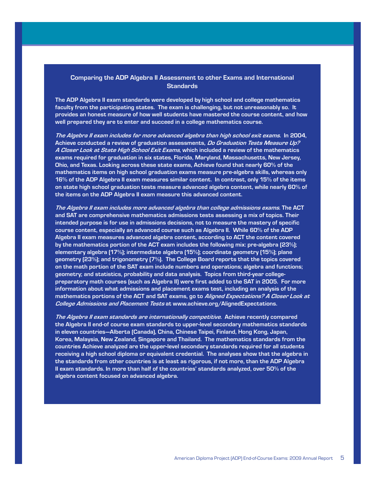## **Comparing the ADP Algebra II Assessment to other Exams and International Standards**

**The ADP Algebra II exam standards were developed by high school and college mathematics faculty from the participating states. The exam is challenging, but not unreasonably so. It provides an honest measure of how well students have mastered the course content, and how well prepared they are to enter and succeed in a college mathematics course.** 

**The Algebra II exam includes far more advanced algebra than high school exit exams. In 2004, Achieve conducted a review of graduation assessments, Do Graduation Tests Measure Up? A Closer Look at State High School Exit Exams, which included a review of the mathematics exams required for graduation in six states, Florida, Maryland, Massachusetts, New Jersey, Ohio, and Texas. Looking across these state exams, Achieve found that nearly 60% of the mathematics items on high school graduation exams measure pre-algebra skills, whereas only 16% of the ADP Algebra II exam measures similar content. In contrast, only 15% of the items on state high school graduation tests measure advanced algebra content, while nearly 60% of the items on the ADP Algebra II exam measure this advanced content.** 

**The Algebra II exam includes more advanced algebra than college admissions exams. The ACT and SAT are comprehensive mathematics admissions tests assessing a mix of topics. Their intended purpose is for use in admissions decisions, not to measure the mastery of specific course content, especially an advanced course such as Algebra II. While 60% of the ADP Algebra II exam measures advanced algebra content, according to ACT the content covered by the mathematics portion of the ACT exam includes the following mix: pre-algebra (23%); elementary algebra (17%); intermediate algebra (15%); coordinate geometry (15%); plane geometry (23%); and trigonometry (7%). The College Board reports that the topics covered on the math portion of the SAT exam include numbers and operations; algebra and functions; geometry; and statistics, probability and data analysis. Topics from third-year collegepreparatory math courses (such as Algebra II) were first added to the SAT in 2005. For more information about what admissions and placement exams test, including an analysis of the mathematics portions of the ACT and SAT exams, go to Aligned Expectations? A Closer Look at College Admissions and Placement Tests at www.achieve.org/AlignedExpectations.**

**The Algebra II exam standards are internationally competitive. Achieve recently compared the Algebra II end-of course exam standards to upper-level secondary mathematics standards in eleven countries—Alberta (Canada), China, Chinese Taipei, Finland, Hong Kong, Japan, Korea, Malaysia, New Zealand, Singapore and Thailand. The mathematics standards from the countries Achieve analyzed are the upper-level secondary standards required for all students receiving a high school diploma or equivalent credential. The analyses show that the algebra in the standards from other countries is at least as rigorous, if not more, than the ADP Algebra II exam standards. In more than half of the countries' standards analyzed, over 50% of the algebra content focused on advanced algebra.**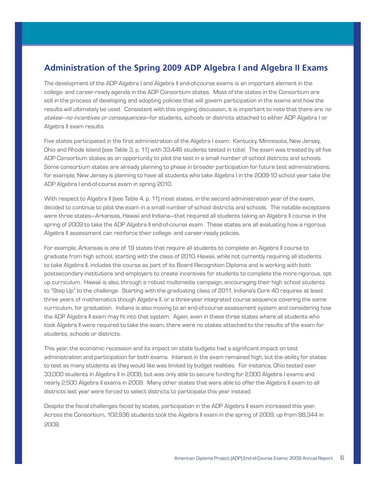# **Administration of the Spring 2009 ADP Algebra I and Algebra II Exams**

The development of the ADP Algebra I and Algebra II end-of-course exams is an important element in the college- and career-ready agenda in the ADP Consortium states. Most of the states in the Consortium are still in the process of developing and adopting policies that will govern participation in the exams and how the results will ultimately be used. Consistent with this ongoing discussion, it is important to note that there are no stakes—no incentives or consequences—for students, schools or districts attached to either ADP Algebra I or Algebra II exam results.

Five states participated in the first administration of the Algebra I exam: Kentucky, Minnesota, New Jersey, Ohio and Rhode Island (see Table 3, p. 11) with 33,446 students tested in total. The exam was treated by all five ADP Consortium states as an opportunity to pilot the test in a small number of school districts and schools. Some consortium states are already planning to phase in broader participation for future test administrations; for example, New Jersey is planning to have all students who take Algebra I in the 2009-10 school year take the ADP Algebra I end-of-course exam in spring 2010.

With respect to Algebra II (see Table 4, p. 11) most states, in the second administration year of the exam, decided to continue to pilot the exam in a small number of school districts and schools. The notable exceptions were three states—Arkansas, Hawaii and Indiana—that required all students taking an Algebra II course in the spring of 2009 to take the ADP Algebra II end-of-course exam. These states are all evaluating how a rigorous Algebra II assessment can reinforce their college- and career-ready policies.

For example, Arkansas is one of 19 states that require all students to complete an Algebra II course to graduate from high school, starting with the class of 2010. Hawaii, while not currently requiring all students to take Algebra II, includes the course as part of its Board Recognition Diploma and is working with both postsecondary institutions and employers to create incentives for students to complete the more rigorous, opt up curriculum. Hawaii is also, through a robust multimedia campaign, encouraging their high school students to "Step Up" to the challenge. Starting with the graduating class of 2011, Indiana's Core 40 requires at least three years of mathematics though Algebra II, or a three-year integrated course sequence covering the same curriculum, for graduation. Indiana is also moving to an end-of-course assessment system and considering how the ADP Algebra II exam may fit into that system. Again, even in these three states where all students who took Algebra II were required to take the exam, there were no stakes attached to the results of the exam for students, schools or districts.

This year, the economic recession and its impact on state budgets had a significant impact on test administration and participation for both exams. Interest in the exam remained high, but the ability for states to test as many students as they would like was limited by budget realities. For instance, Ohio tested over 33,000 students in Algebra II in 2008, but was only able to secure funding for 2,000 Algebra I exams and nearly 2,500 Algebra II exams in 2009. Many other states that were able to offer the Algebra II exam to all districts last year were forced to select districts to participate this year instead.

Despite the fiscal challenges faced by states, participation in the ADP Algebra II exam increased this year. Across the Consortium, 102,936 students took the Algebra II exam in the spring of 2009, up from 88,344 in 2008.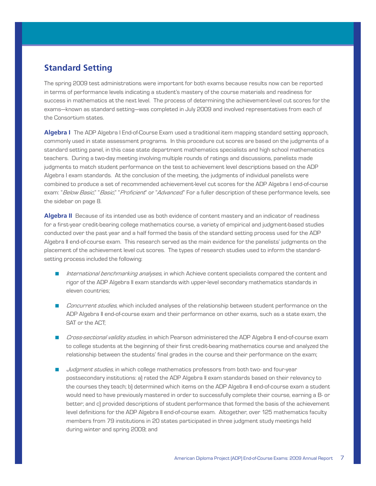# **Standard Setting**

The spring 2009 test administrations were important for both exams because results now can be reported in terms of performance levels indicating a student's mastery of the course materials and readiness for success in mathematics at the next level. The process of determining the achievement-level cut scores for the exams—known as standard setting—was completed in July 2009 and involved representatives from each of the Consortium states.

**Algebra I** The ADP Algebra I End-of-Course Exam used a traditional item mapping standard setting approach, commonly used in state assessment programs. In this procedure cut scores are based on the judgments of a standard setting panel, in this case state department mathematics specialists and high school mathematics teachers. During a two-day meeting involving multiple rounds of ratings and discussions, panelists made judgments to match student performance on the test to achievement level descriptions based on the ADP Algebra I exam standards. At the conclusion of the meeting, the judgments of individual panelists were combined to produce a set of recommended achievement-level cut scores for the ADP Algebra I end-of-course exam: "Below Basic," "Basic," "Proficient" or "Advanced." For a fuller description of these performance levels, see the sidebar on page 8.

**Algebra II** Because of its intended use as both evidence of content mastery and an indicator of readiness for a first-year credit-bearing college mathematics course, a variety of empirical and judgment-based studies conducted over the past year and a half formed the basis of the standard setting process used for the ADP Algebra II end-of-course exam. This research served as the main evidence for the panelists' judgments on the placement of the achievement level cut scores. The types of research studies used to inform the standardsetting process included the following:

- nternational benchmarking analyses, in which Achieve content specialists compared the content and rigor of the ADP Algebra II exam standards with upper-level secondary mathematics standards in eleven countries;
- **n** Concurrent studies, which included analyses of the relationship between student performance on the ADP Algebra II end-of-course exam and their performance on other exams, such as a state exam, the SAT or the ACT;
- Cross-sectional validity studies, in which Pearson administered the ADP Algebra II end-of-course exam to college students at the beginning of their first credit-bearing mathematics course and analyzed the relationship between the students' final grades in the course and their performance on the exam;
- Judgment studies, in which college mathematics professors from both two- and four-year postsecondary institutions: a) rated the ADP Algebra II exam standards based on their relevancy to the courses they teach; b) determined which items on the ADP Algebra II end-of-course exam a student would need to have previously mastered in order to successfully complete their course, earning a B- or better; and c) provided descriptions of student performance that formed the basis of the achievement level definitions for the ADP Algebra II end-of-course exam. Altogether, over 125 mathematics faculty members from 79 institutions in 20 states participated in three judgment study meetings held during winter and spring 2009; and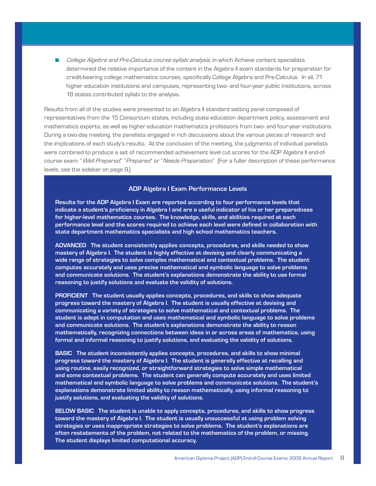**n** College Algebra and Pre-Calculus course syllabi analysis, in which Achieve content specialists determined the relative importance of the content in the Algebra II exam standards for preparation for credit-bearing college mathematics courses, specifically College Algebra and Pre-Calculus. In all, 71 higher education institutions and campuses, representing two- and four-year public institutions, across 18 states contributed syllabi to the analysis.

Results from all of the studies were presented to an Algebra II standard setting panel composed of representatives from the 15 Consortium states, including state education department policy, assessment and mathematics experts, as well as higher education mathematics professors from two- and four-year institutions. During a two-day meeting, the panelists engaged in rich discussions about the various pieces of research and the implications of each study's results. At the conclusion of the meeting, the judgments of individual panelists were combined to produce a set of recommended achievement level cut scores for the ADP Algebra II end-ofcourse exam: "Well Prepared", "Prepared" or "Needs Preparation." (For a fuller description of these performance levels, see the sidebar on page 9.)

## **ADP Algebra I Exam Performance Levels**

**Results for the ADP Algebra I Exam are reported according to four performance levels that indicate a student's proficiency in Algebra I and are a useful indicator of his or her preparedness for higher-level mathematics courses. The knowledge, skills, and abilities required at each performance level and the scores required to achieve each level were defined in collaboration with state department mathematics specialists and high school mathematics teachers.** 

**Advanced The student consistently applies concepts, procedures, and skills needed to show mastery of Algebra I. The student is highly effective at devising and clearly communicating a wide range of strategies to solve complex mathematical and contextual problems. The student computes accurately and uses precise mathematical and symbolic language to solve problems and communicate solutions. The student's explanations demonstrate the ability to use formal reasoning to justify solutions and evaluate the validity of solutions.**

**Proficient The student usually applies concepts, procedures, and skills to show adequate progress toward the mastery of Algebra I. The student is usually effective at devising and communicating a variety of strategies to solve mathematical and contextual problems. The student is adept in computation and uses mathematical and symbolic language to solve problems and communicate solutions. The student's explanations demonstrate the ability to reason mathematically, recognizing connections between ideas in or across areas of mathematics, using formal and informal reasoning to justify solutions, and evaluating the validity of solutions.**

**Basic The student inconsistently applies concepts, procedures, and skills to show minimal progress toward the mastery of Algebra I. The student is generally effective at recalling and using routine, easily recognized, or straightforward strategies to solve simple mathematical and some contextual problems. The student can generally compute accurately and uses limited mathematical and symbolic language to solve problems and communicate solutions. The student's explanations demonstrate limited ability to reason mathematically, using informal reasoning to justify solutions, and evaluating the validity of solutions.**

**Below Basic The student is unable to apply concepts, procedures, and skills to show progress toward the mastery of Algebra I. The student is usually unsuccessful at using problem solving strategies or uses inappropriate strategies to solve problems. The student's explanations are often restatements of the problem, not related to the mathematics of the problem, or missing. The student displays limited computational accuracy.**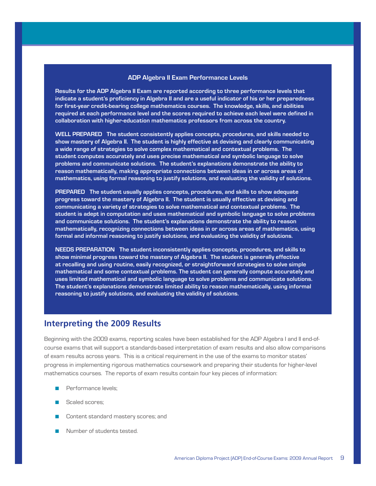#### **ADP Algebra II Exam Performance Levels**

**Results for the ADP Algebra II Exam are reported according to three performance levels that indicate a student's proficiency in Algebra II and are a useful indicator of his or her preparedness for first-year credit-bearing college mathematics courses. The knowledge, skills, and abilities required at each performance level and the scores required to achieve each level were defined in collaboration with higher-education mathematics professors from across the country.**

**Well Prepared The student consistently applies concepts, procedures, and skills needed to show mastery of Algebra II. The student is highly effective at devising and clearly communicating a wide range of strategies to solve complex mathematical and contextual problems. The student computes accurately and uses precise mathematical and symbolic language to solve problems and communicate solutions. The student's explanations demonstrate the ability to reason mathematically, making appropriate connections between ideas in or across areas of mathematics, using formal reasoning to justify solutions, and evaluating the validity of solutions.**

PREPARED The student usually applies concepts, procedures, and skills to show adequate **progress toward the mastery of Algebra II. The student is usually effective at devising and communicating a variety of strategies to solve mathematical and contextual problems. The student is adept in computation and uses mathematical and symbolic language to solve problems and communicate solutions. The student's explanations demonstrate the ability to reason mathematically, recognizing connections between ideas in or across areas of mathematics, using formal and informal reasoning to justify solutions, and evaluating the validity of solutions.**

**Needs Preparation The student inconsistently applies concepts, procedures, and skills to show minimal progress toward the mastery of Algebra II. The student is generally effective at recalling and using routine, easily recognized, or straightforward strategies to solve simple mathematical and some contextual problems. The student can generally compute accurately and uses limited mathematical and symbolic language to solve problems and communicate solutions. The student's explanations demonstrate limited ability to reason mathematically, using informal reasoning to justify solutions, and evaluating the validity of solutions.**

## **Interpreting the 2009 Results**

Beginning with the 2009 exams, reporting scales have been established for the ADP Algebra I and II end-ofcourse exams that will support a standards-based interpretation of exam results and also allow comparisons of exam results across years. This is a critical requirement in the use of the exams to monitor states' progress in implementing rigorous mathematics coursework and preparing their students for higher-level mathematics courses. The reports of exam results contain four key pieces of information:

- $\blacksquare$  Performance levels;
- Scaled scores;
- **n** Content standard mastery scores; and
- Number of students tested.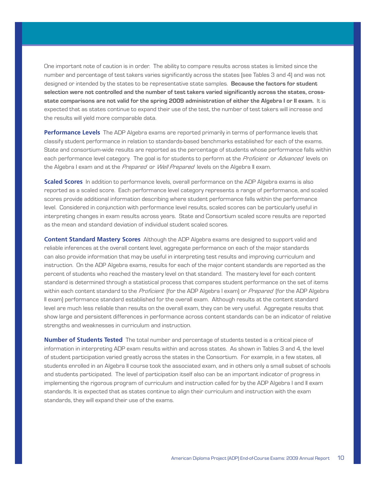One important note of caution is in order. The ability to compare results across states is limited since the number and percentage of test takers varies significantly across the states (see Tables 3 and 4) and was not designed or intended by the states to be representative state samples. **Because the factors for student selection were not controlled and the number of test takers varied significantly across the states, crossstate comparisons are not valid for the spring 2009 administration of either the Algebra I or II exam.** It is expected that as states continue to expand their use of the test, the number of test takers will increase and the results will yield more comparable data.

**Performance Levels** The ADP Algebra exams are reported primarily in terms of performance levels that classify student performance in relation to standards-based benchmarks established for each of the exams. State and consortium-wide results are reported as the percentage of students whose performance falls within each performance level category. The goal is for students to perform at the Proficient or Advanced levels on the Algebra I exam and at the *Prepared* or *Well Prepared* levels on the Algebra II exam.

**Scaled Scores** In addition to performance levels, overall performance on the ADP Algebra exams is also reported as a scaled score. Each performance level category represents a range of performance, and scaled scores provide additional information describing where student performance falls within the performance level. Considered in conjunction with performance level results, scaled scores can be particularly useful in interpreting changes in exam results across years. State and Consortium scaled score results are reported as the mean and standard deviation of individual student scaled scores.

**Content Standard Mastery Scores** Although the ADP Algebra exams are designed to support valid and reliable inferences at the overall content level, aggregate performance on each of the major standards can also provide information that may be useful in interpreting test results and improving curriculum and instruction. On the ADP Algebra exams, results for each of the major content standards are reported as the percent of students who reached the mastery level on that standard. The mastery level for each content standard is determined through a statistical process that compares student performance on the set of items within each content standard to the Proficient (for the ADP Algebra I exam) or Prepared (for the ADP Algebra II exam) performance standard established for the overall exam. Although results at the content standard level are much less reliable than results on the overall exam, they can be very useful. Aggregate results that show large and persistent differences in performance across content standards can be an indicator of relative strengths and weaknesses in curriculum and instruction.

**Number of Students Tested** The total number and percentage of students tested is a critical piece of information in interpreting ADP exam results within and across states. As shown in Tables 3 and 4, the level of student participation varied greatly across the states in the Consortium. For example, in a few states, all students enrolled in an Algebra II course took the associated exam, and in others only a small subset of schools and students participated. The level of participation itself also can be an important indicator of progress in implementing the rigorous program of curriculum and instruction called for by the ADP Algebra I and II exam standards. It is expected that as states continue to align their curriculum and instruction with the exam standards, they will expand their use of the exams.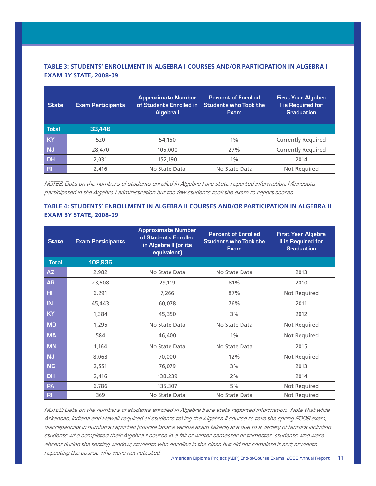## **TABLE 3: STUDENTS' ENROLLMENT IN ALGEBRA I COURSES AND/OR PARTICIPATION IN ALGEBRA I EXAM BY STATE, 2008-09**

| <b>Exam Participants</b><br><b>State</b> |        | <b>Approximate Number</b><br>of Students Enrolled in<br>Algebra I | <b>Percent of Enrolled</b><br><b>Students who Took the</b><br><b>Exam</b> | <b>First Year Algebra</b><br>I is Required for<br><b>Graduation</b> |  |
|------------------------------------------|--------|-------------------------------------------------------------------|---------------------------------------------------------------------------|---------------------------------------------------------------------|--|
| <b>Total</b>                             | 33,446 |                                                                   |                                                                           |                                                                     |  |
| <b>KY</b>                                | 520    | 54,160                                                            | $1\%$                                                                     | <b>Currently Required</b>                                           |  |
| <b>NJ</b>                                | 28,470 | 105,000                                                           | 27%                                                                       | <b>Currently Required</b>                                           |  |
| <b>OH</b>                                | 2.031  | 152,190                                                           | $1\%$                                                                     | 2014                                                                |  |
| R <sub>l</sub>                           | 2,416  | No State Data                                                     | No State Data                                                             | <b>Not Required</b>                                                 |  |

NOTES: Data on the numbers of students enrolled in Algebra I are state reported information. Minnesota participated in the Algebra I administration but too few students took the exam to report scores.

## **TABLE 4: STUDENTS' ENROLLMENT IN ALGEBRA II COURSES AND/OR PARTICIPATION IN ALGEBRA II EXAM BY STATE, 2008-09**

| <b>State</b>   | <b>Exam Participants</b> | <b>Approximate Number</b><br>of Students Enrolled<br>in Algebra II (or its<br>equivalent) | <b>Percent of Enrolled</b><br><b>Students who Took the</b><br><b>Exam</b> | <b>First Year Algebra</b><br><b>Il is Required for</b><br><b>Graduation</b> |
|----------------|--------------------------|-------------------------------------------------------------------------------------------|---------------------------------------------------------------------------|-----------------------------------------------------------------------------|
| <b>Total</b>   | 102,936                  |                                                                                           |                                                                           |                                                                             |
| <b>AZ</b>      | 2,982                    | No State Data                                                                             | No State Data                                                             | 2013                                                                        |
| <b>AR</b>      | 23,608                   | 29,119                                                                                    | 81%                                                                       | 2010                                                                        |
| H <sub>1</sub> | 6,291                    | 7,266                                                                                     | 87%                                                                       | Not Required                                                                |
| IN             | 45,443                   | 60,078                                                                                    | 76%                                                                       | 2011                                                                        |
| KY             | 1,384                    | 45,350                                                                                    | 3%                                                                        | 2012                                                                        |
| <b>MD</b>      | 1,295                    | No State Data                                                                             | No State Data                                                             | Not Required                                                                |
| <b>MA</b>      | 584                      | 46,400                                                                                    | $1\%$                                                                     | Not Required                                                                |
| <b>MN</b>      | 1,164                    | No State Data                                                                             | No State Data                                                             | 2015                                                                        |
| <b>NJ</b>      | 8,063                    | 70,000                                                                                    | 12%                                                                       | Not Required                                                                |
| <b>NC</b>      | 2,551                    | 76,079                                                                                    | 3%                                                                        | 2013                                                                        |
| OH             | 2,416                    | 138,239                                                                                   | 2%                                                                        | 2014                                                                        |
| PA             | 6,786                    | 135,307                                                                                   | 5%                                                                        | Not Required                                                                |
| R <sub>l</sub> | 369                      | No State Data                                                                             | No State Data                                                             | Not Required                                                                |

NOTES: Data on the numbers of students enrolled in Algebra II are state reported information. Note that while Arkansas, Indiana and Hawaii required all students taking the Algebra II course to take the spring 2009 exam, discrepancies in numbers reported (course takers versus exam takers) are due to a variety of factors including students who completed their Algebra II course in a fall or winter semester or trimester; students who were absent during the testing window; students who enrolled in the class but did not complete it and; students repeating the course who were not retested.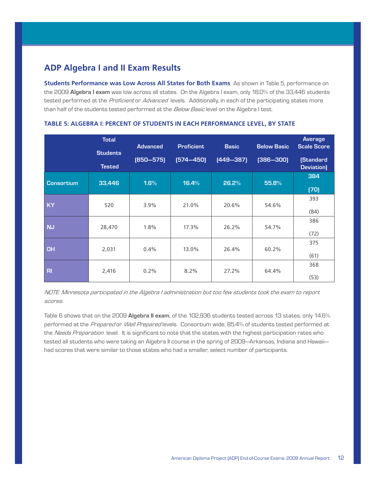# **ADP Algebra I and II Exam Results**

**Students Performance was Low Across All States for Both Exams** As shown in Table 5, performance on the 2009 **Algebra I exam** was low across all states. On the Algebra I exam, only 18.0% of the 33,446 students tested performed at the Proficient or Advanced levels. Additionally, in each of the participating states more than half of the students tested performed at the Below Basic level on the Algebra I test.

|                   | <b>Total</b><br><b>Students</b><br><b>Tested</b> | <b>Advanced</b><br>$[850 - 575]$ | <b>Proficient</b><br>$[574 - 450]$ | <b>Basic</b><br>$[449 - 387]$ | <b>Below Basic</b><br>$[386 - 300]$ | <b>Average</b><br><b>Scale Score</b><br><b>(Standard</b><br>Deviation) |
|-------------------|--------------------------------------------------|----------------------------------|------------------------------------|-------------------------------|-------------------------------------|------------------------------------------------------------------------|
| <b>Consortium</b> | 33,446                                           | 1.6%                             | 16.4%                              | 26.2%                         | 55.8%                               | 384<br>(70)                                                            |
| KY                | 520                                              | 3.9%                             | 21.0%                              | 20.6%                         | 54.6%                               | 393<br>(84)                                                            |
| <b>NJ</b>         | 28,470                                           | 1.8%                             | 17.3%                              | 26.2%                         | 54.7%                               | 386<br>(72)                                                            |
| <b>OH</b>         | 2,031                                            | 0.4%                             | 13.0%                              | 26.4%                         | 60.2%                               | 375<br>(61)                                                            |
| R <sub>l</sub>    | 2,416                                            | 0.2%                             | 8.2%                               | 27.2%                         | 64.4%                               | 368<br>(53)                                                            |

#### **TABLE 5: ALGEBRA I: PERCENT OF STUDENTS IN EACH PERFORMANCE LEVEL, BY STATE**

NOTE: Minnesota participated in the Algebra I administration but too few students took the exam to report scores.

Table 6 shows that on the 2009 **Algebra II exam**, of the 102,936 students tested across 13 states, only 14.6% performed at the Prepared or Well Prepared levels. Consortium wide, 85.4% of students tested performed at the Needs Preparation level. It is significant to note that the states with the highest participation rates who tested all students who were taking an Algebra II course in the spring of 2009—Arkansas, Indiana and Hawaii had scores that were similar to those states who had a smaller, select number of participants.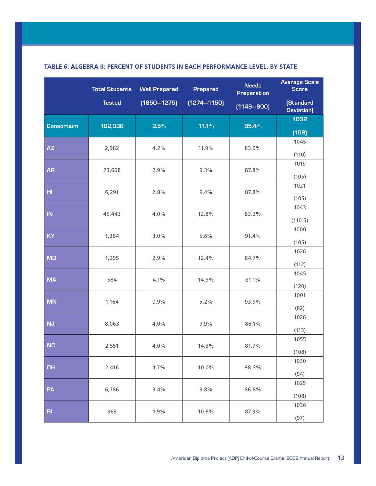|                   | <b>Total Students</b> | <b>Well Prepared</b> | <b>Prepared</b> | <b>Needs</b><br>Preparation | <b>Average Scale</b><br><b>Score</b> |
|-------------------|-----------------------|----------------------|-----------------|-----------------------------|--------------------------------------|
|                   | <b>Tested</b>         | $(1650 - 1275)$      | $[1274 - 1150]$ | $[1149 - 900]$              | (Standard<br>Deviation)              |
| <b>Consortium</b> | 102,936               | 3.5%                 | 11.1%           | 85.4%                       | 1032                                 |
|                   |                       |                      |                 |                             | (109)                                |
| <b>AZ</b>         | 2,982                 | 4.2%                 | 11.9%           | 83.9%                       | 1045<br>(110)                        |
|                   |                       |                      |                 |                             | 1019                                 |
| <b>AR</b>         | 23,608                | 2.9%                 | 9.3%            | 87.8%                       |                                      |
|                   |                       |                      |                 |                             | (105)                                |
| HI.               | 6,291                 | 2.8%                 | 9.4%            | 87.8%                       | 1021                                 |
|                   |                       |                      |                 |                             | (105)                                |
|                   |                       |                      |                 |                             | 1043                                 |
| IN                | 45,443                | 4.0%                 | 12.8%           | 83.3%                       |                                      |
|                   |                       |                      |                 |                             | (110.5)                              |
| <b>KY</b>         | 1,384                 | 3.0%                 | 5.6%            | 91.4%                       | 1000                                 |
|                   |                       |                      |                 |                             | (105)                                |
|                   |                       |                      |                 |                             | 1026                                 |
| <b>MD</b>         | 1,295                 | 2.9%                 | 12.4%           | 84.7%                       |                                      |
|                   |                       |                      |                 |                             | (112)                                |
| <b>MA</b>         | 584                   | 4.1%                 | 14.9%           | 81.1%                       | 1045                                 |
|                   |                       |                      |                 |                             | (120)                                |
|                   |                       |                      |                 |                             | 1001                                 |
| <b>MN</b>         | 1,164                 | 0.9%                 | 5.2%            | 93.9%                       | (82)                                 |
|                   |                       |                      |                 |                             | 1026                                 |
| <b>NJ</b>         | 8,063                 | 4.0%                 | 9.9%            | 86.1%                       |                                      |
|                   |                       |                      |                 |                             | (113)                                |
|                   |                       |                      |                 |                             | 1055                                 |
| <b>NC</b>         | 2,551                 | 4.0%                 | 14.3%           | 81.7%                       | (108)                                |
|                   |                       |                      |                 |                             | 1030                                 |
| <b>OH</b>         | 2,416                 | 1.7%                 | 10.0%           | 88.3%                       |                                      |
|                   |                       |                      |                 |                             | (94)                                 |
|                   |                       |                      |                 |                             | 1025                                 |
| PA                | 6,786                 | 3.4%                 | 9.8%            | 86.8%                       | (108)                                |
|                   |                       |                      |                 |                             | 1036                                 |
| R <sub>l</sub>    | 369                   | 1.9%                 | 10.8%           | 87.3%                       |                                      |
|                   |                       |                      |                 |                             | (97)                                 |

## **TABLE 6: ALGEBRA II: PERCENT OF STUDENTS IN EACH PERFORMANCE LEVEL, BY STATE**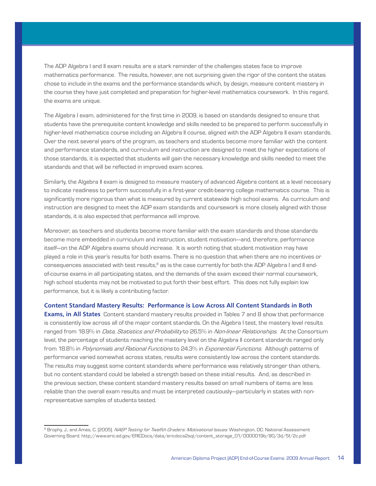The ADP Algebra I and II exam results are a stark reminder of the challenges states face to improve mathematics performance. The results, however, are not surprising given the rigor of the content the states chose to include in the exams and the performance standards which, by design, measure content mastery in the course they have just completed and preparation for higher-level mathematics coursework. In this regard, the exams are unique.

The Algebra I exam, administered for the first time in 2009, is based on standards designed to ensure that students have the prerequisite content knowledge and skills needed to be prepared to perform successfully in higher-level mathematics course including an Algebra II course, aligned with the ADP Algebra II exam standards. Over the next several years of the program, as teachers and students become more familiar with the content and performance standards, and curriculum and instruction are designed to meet the higher expectations of those standards, it is expected that students will gain the necessary knowledge and skills needed to meet the standards and that will be reflected in improved exam scores.

Similarly, the Algebra II exam is designed to measure mastery of advanced Algebra content at a level necessary to indicate readiness to perform successfully in a first-year credit-bearing college mathematics course. This is significantly more rigorous than what is measured by current statewide high school exams. As curriculum and instruction are designed to meet the ADP exam standards and coursework is more closely aligned with those standards, it is also expected that performance will improve.

Moreover, as teachers and students become more familiar with the exam standards and those standards become more embedded in curriculum and instruction, student motivation—and, therefore, performance itself—on the ADP Algebra exams should increase. It is worth noting that student motivation may have played a role in this year's results for both exams. There is no question that when there are no incentives or consequences associated with test results,<sup>8</sup> as is the case currently for both the ADP Algebra I and II endof-course exams in all participating states, and the demands of the exam exceed their normal coursework, high school students may not be motivated to put forth their best effort. This does not fully explain low performance, but it is likely a contributing factor.

#### **Content Standard Mastery Results: Performance is Low Across All Content Standards in Both**

**Exams, in All States** Content standard mastery results provided in Tables 7 and 8 show that performance is consistently low across all of the major content standards. On the Algebra I test, the mastery level results ranged from 18.9% in *Data, Statistics and Probability* to 26.5% in *Non-linear Relationships*. At the Consortium level, the percentage of students reaching the mastery level on the Algebra II content standards ranged only from 18.8% in Polynomials and Rational Functions to 24.3% in Exponential Functions. Although patterns of performance varied somewhat across states, results were consistently low across the content standards. The results may suggest some content standards where performance was relatively stronger than others, but no content standard could be labeled a strength based on these initial results. And, as described in the previous section, these content standard mastery results based on small numbers of items are less reliable than the overall exam results and must be interpreted cautiously—particularly in states with nonrepresentative samples of students tested.

<sup>&</sup>lt;sup>8</sup> Brophy, J., and Ames, C. (2005). *NAEP Testing for Twelfth Graders: Motivational Issues*. Washington, DC: National Assessment Governing Board. http://www.eric.ed.gov/ERICDocs/data/ericdocs2sql/content\_storage\_01/0000019b/80/3d/5f/2c.pdf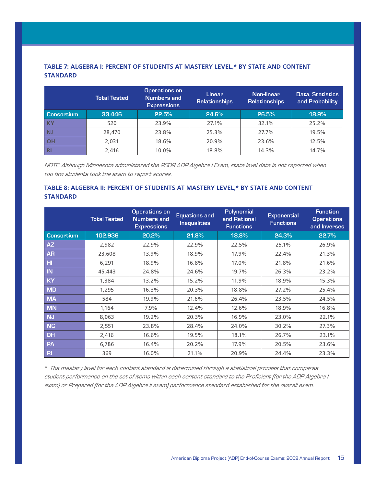## **TABLE 7: ALGEBRA I: PERCENT OF STUDENTS AT MASTERY LEVEL,\* BY STATE AND CONTENT STANDARD**

|                   | <b>Total Tested</b> | <b>Operations on</b><br><b>Numbers and</b><br><b>Expressions</b> | Linear<br><b>Relationships</b> | Non-linear<br>Relationships | Data, Statistics<br>and Probability |
|-------------------|---------------------|------------------------------------------------------------------|--------------------------------|-----------------------------|-------------------------------------|
| <b>Consortium</b> | 33,446              | 22.5%                                                            | 24.6%                          | 26.5%                       | 18.9%                               |
| <b>KY</b>         | 520                 | 23.9%                                                            | 27.1%                          | 32.1%                       | 25.2%                               |
| <b>NJ</b>         | 28,470              | 23.8%                                                            | 25.3%                          | 27.7%                       | 19.5%                               |
| <b>OH</b>         | 2,031               | 18.6%                                                            | 20.9%                          | 23.6%                       | 12.5%                               |
| <b>RI</b>         | 2,416               | 10.0%                                                            | 18.8%                          | 14.3%                       | 14.7%                               |

NOTE: Although Minnesota administered the 2009 ADP Algebra I Exam, state level data is not reported when too few students took the exam to report scores.

## **TABLE 8: ALGEBRA II: PERCENT OF STUDENTS AT MASTERY LEVEL,\* BY STATE AND CONTENT STANDARD**

|                   | <b>Total Tested</b> | <b>Operations on</b><br><b>Numbers and</b><br><b>Expressions</b> | <b>Equations and</b><br><b>Inequalities</b> | <b>Polynomial</b><br>and Rational<br><b>Functions</b> | <b>Exponential</b><br><b>Functions</b> | <b>Function</b><br><b>Operations</b><br>and Inverses |
|-------------------|---------------------|------------------------------------------------------------------|---------------------------------------------|-------------------------------------------------------|----------------------------------------|------------------------------------------------------|
| <b>Consortium</b> | 102,936             | 20.2%                                                            | 21.8%                                       | 18.8%                                                 | 24.3%                                  | 22.7%                                                |
| AZ                | 2,982               | 22.9%                                                            | 22.9%                                       | 22.5%                                                 | 25.1%                                  | 26.9%                                                |
| <b>AR</b>         | 23,608              | 13.9%                                                            | 18.9%                                       | 17.9%                                                 | 22.4%                                  | 21.3%                                                |
| H <sub>II</sub>   | 6,291               | 18.9%                                                            | 16.8%                                       | 17.0%                                                 | 21.8%                                  | 21.6%                                                |
| IN                | 45,443              | 24.8%                                                            | 24.6%                                       | 19.7%                                                 | 26.3%                                  | 23.2%                                                |
| <b>KY</b>         | 1,384               | 13.2%                                                            | 15.2%                                       | 11.9%                                                 | 18.9%                                  | 15.3%                                                |
| <b>MD</b>         | 1,295               | 16.3%                                                            | 20.3%                                       | 18.8%                                                 | 27.2%                                  | 25.4%                                                |
| <b>MA</b>         | 584                 | 19.9%                                                            | 21.6%                                       | 26.4%                                                 | 23.5%                                  | 24.5%                                                |
| <b>MN</b>         | 1,164               | 7.9%                                                             | 12.4%                                       | 12.6%                                                 | 18.9%                                  | 16.8%                                                |
| <b>NJ</b>         | 8,063               | 19.2%                                                            | 20.3%                                       | 16.9%                                                 | 23.0%                                  | 22.1%                                                |
| <b>NC</b>         | 2,551               | 23.8%                                                            | 28.4%                                       | 24.0%                                                 | 30.2%                                  | 27.3%                                                |
| OH                | 2,416               | 16.6%                                                            | 19.5%                                       | 18.1%                                                 | 26.7%                                  | 23.1%                                                |
| <b>PA</b>         | 6,786               | 16.4%                                                            | 20.2%                                       | 17.9%                                                 | 20.5%                                  | 23.6%                                                |
| $R_{\rm}$         | 369                 | 16.0%                                                            | 21.1%                                       | 20.9%                                                 | 24.4%                                  | 23.3%                                                |

\* The mastery level for each content standard is determined through a statistical process that compares student performance on the set of items within each content standard to the Proficient (for the ADP Algebra I exam) or Prepared (for the ADP Algebra II exam) performance standard established for the overall exam.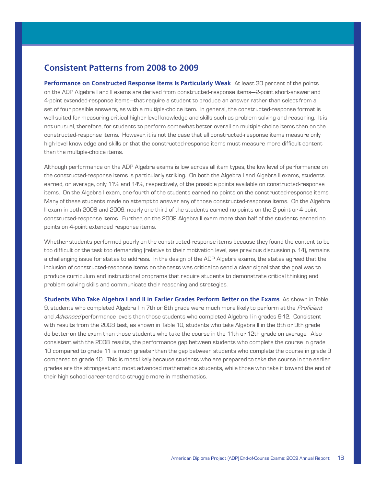# **Consistent Patterns from 2008 to 2009**

**Performance on Constructed Response Items Is Particularly Weak** At least 30 percent of the points on the ADP Algebra I and II exams are derived from constructed-response items—2-point short-answer and 4-point extended-response items—that require a student to produce an answer rather than select from a set of four possible answers, as with a multiple-choice item. In general, the constructed-response format is well-suited for measuring critical higher-level knowledge and skills such as problem solving and reasoning. It is not unusual, therefore, for students to perform somewhat better overall on multiple-choice items than on the constructed-response items. However, it is not the case that all constructed-response items measure only high-level knowledge and skills or that the constructed-response items must measure more difficult content than the multiple-choice items.

Although performance on the ADP Algebra exams is low across all item types, the low level of performance on the constructed-response items is particularly striking. On both the Algebra I and Algebra II exams, students earned, on average, only 11% and 14%, respectively, of the possible points available on constructed-response items. On the Algebra I exam, one-fourth of the students earned no points on the constructed-response items. Many of these students made no attempt to answer any of those constructed-response items. On the Algebra II exam in both 2008 and 2009, nearly one-third of the students earned no points on the 2-point or 4-point constructed-response items. Further, on the 2009 Algebra II exam more than half of the students earned no points on 4-point extended response items.

Whether students performed poorly on the constructed-response items because they found the content to be too difficult or the task too demanding (relative to their motivation level, see previous discussion p. 14), remains a challenging issue for states to address. In the design of the ADP Algebra exams, the states agreed that the inclusion of constructed-response items on the tests was critical to send a clear signal that the goal was to produce curriculum and instructional programs that require students to demonstrate critical thinking and problem solving skills and communicate their reasoning and strategies.

**Students Who Take Algebra I and II in Earlier Grades Perform Better on the Exams** As shown in Table 9, students who completed Algebra I in 7th or 8th grade were much more likely to perform at the Proficient and Advanced performance levels than those students who completed Algebra I in grades 9-12. Consistent with results from the 2008 test, as shown in Table 10, students who take Algebra II in the 8th or 9th grade do better on the exam than those students who take the course in the 11th or 12th grade on average. Also consistent with the 2008 results, the performance gap between students who complete the course in grade 10 compared to grade 11 is much greater than the gap between students who complete the course in grade 9 compared to grade 10. This is most likely because students who are prepared to take the course in the earlier grades are the strongest and most advanced mathematics students, while those who take it toward the end of their high school career tend to struggle more in mathematics.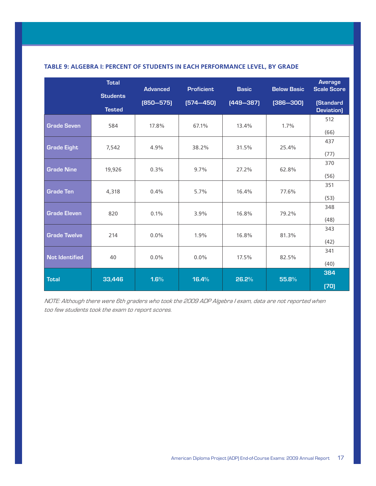|                       | <b>Total</b>    | <b>Advanced</b> | <b>Proficient</b> | <b>Basic</b>  | <b>Below Basic</b> | <b>Average</b><br><b>Scale Score</b> |
|-----------------------|-----------------|-----------------|-------------------|---------------|--------------------|--------------------------------------|
|                       | <b>Students</b> | $[850 - 575]$   | $[574 - 450]$     | $[449 - 387]$ | $(386 - 300)$      | <b>(Standard</b>                     |
|                       | <b>Tested</b>   |                 |                   |               |                    | Deviation)                           |
| <b>Grade Seven</b>    | 584             | 17.8%           | 67.1%             | 13.4%         | 1.7%               | 512<br>(66)                          |
|                       |                 |                 |                   |               |                    | 437                                  |
| <b>Grade Eight</b>    | 7,542           | 4.9%            | 38.2%             | 31.5%         | 25.4%              |                                      |
|                       |                 |                 |                   |               |                    | (77)                                 |
|                       |                 |                 |                   |               |                    | 370                                  |
| <b>Grade Nine</b>     | 19,926          | 0.3%            | 9.7%              | 27.2%         | 62.8%              |                                      |
|                       |                 |                 |                   |               |                    | (56)                                 |
| <b>Grade Ten</b>      | 4,318           | 0.4%            | 5.7%              | 16.4%         | 77.6%              | 351                                  |
|                       |                 |                 |                   |               |                    | (53)                                 |
|                       |                 |                 |                   |               |                    | 348                                  |
| <b>Grade Eleven</b>   | 820             | 0.1%            | 3.9%              | 16.8%         | 79.2%              |                                      |
|                       |                 |                 |                   |               |                    | (48)                                 |
|                       |                 |                 |                   |               |                    | 343                                  |
| <b>Grade Twelve</b>   | 214             | $0.0\%$         | 1.9%              | 16.8%         | 81.3%              | (42)                                 |
|                       |                 |                 |                   |               |                    | 341                                  |
| <b>Not Identified</b> | 40              | $0.0\%$         | $0.0\%$           | 17.5%         | 82.5%              |                                      |
|                       |                 |                 |                   |               |                    | (40)                                 |
|                       |                 |                 |                   |               |                    | 384                                  |
| <b>Total</b>          | 33,446          | 1.6%            | 16.4%             | 26.2%         | 55.8%              |                                      |
|                       |                 |                 |                   |               |                    | (70)                                 |

## **TABLE 9: ALGEBRA I: PERCENT OF STUDENTS IN EACH PERFORMANCE LEVEL, BY GRADE**

NOTE: Although there were 6th graders who took the 2009 ADP Algebra I exam, data are not reported when too few students took the exam to report scores.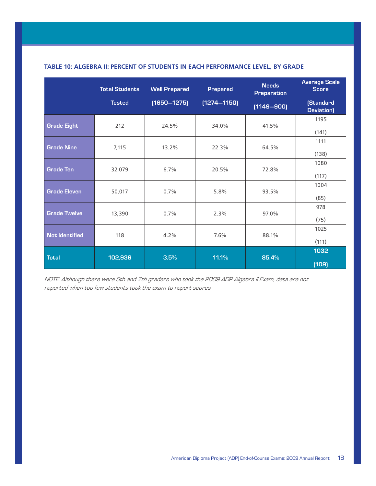|                       | <b>Total Students</b> | <b>Well Prepared</b> | <b>Prepared</b> | <b>Needs</b><br><b>Preparation</b> | <b>Average Scale</b><br><b>Score</b> |
|-----------------------|-----------------------|----------------------|-----------------|------------------------------------|--------------------------------------|
|                       | <b>Tested</b>         | $[1650 - 1275]$      | $[1274 - 1150]$ | $[1149 - 900]$                     | <b>(Standard</b><br>Deviation)       |
| <b>Grade Eight</b>    | 212                   | 24.5%                | 34.0%           | 41.5%                              | 1195<br>(141)                        |
| <b>Grade Nine</b>     | 7,115                 | 13.2%                | 22.3%           | 64.5%                              | 1111<br>(138)                        |
| <b>Grade Ten</b>      | 32,079                | 6.7%                 | 20.5%           | 72.8%                              | 1080<br>(117)                        |
| <b>Grade Eleven</b>   | 50,017                | 0.7%                 | 5.8%            | 93.5%                              | 1004<br>(85)                         |
| <b>Grade Twelve</b>   | 13,390                | 0.7%                 | 2.3%            | 97.0%                              | 978<br>(75)                          |
| <b>Not Identified</b> | 118                   | 4.2%                 | 7.6%            | 88.1%                              | 1025<br>(111)                        |
| <b>Total</b>          | 102,936               | 3.5%                 | 11.1%           | 85.4%                              | 1032<br>(109)                        |

## **TABLE 10: ALGEBRA II: PERCENT OF STUDENTS IN EACH PERFORMANCE LEVEL, BY GRADE**

NOTE: Although there were 6th and 7th graders who took the 2009 ADP Algebra II Exam, data are not reported when too few students took the exam to report scores.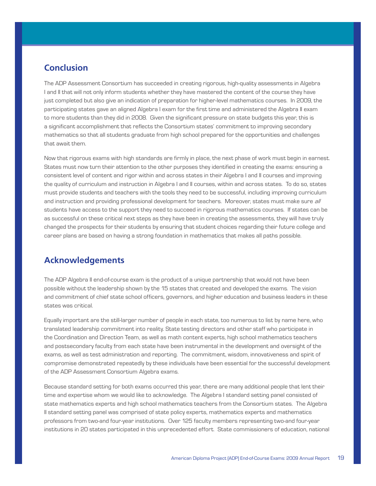# **Conclusion**

The ADP Assessment Consortium has succeeded in creating rigorous, high-quality assessments in Algebra I and II that will not only inform students whether they have mastered the content of the course they have just completed but also give an indication of preparation for higher-level mathematics courses. In 2009, the participating states gave an aligned Algebra I exam for the first time and administered the Algebra II exam to more students than they did in 2008. Given the significant pressure on state budgets this year, this is a significant accomplishment that reflects the Consortium states' commitment to improving secondary mathematics so that all students graduate from high school prepared for the opportunities and challenges that await them.

Now that rigorous exams with high standards are firmly in place, the next phase of work must begin in earnest. States must now turn their attention to the other purposes they identified in creating the exams: ensuring a consistent level of content and rigor within and across states in their Algebra I and II courses and improving the quality of curriculum and instruction in Algebra I and II courses, within and across states. To do so, states must provide students and teachers with the tools they need to be successful, including improving curriculum and instruction and providing professional development for teachers. Moreover, states must make sure all students have access to the support they need to succeed in rigorous mathematics courses. If states can be as successful on these critical next steps as they have been in creating the assessments, they will have truly changed the prospects for their students by ensuring that student choices regarding their future college and career plans are based on having a strong foundation in mathematics that makes all paths possible.

# **Acknowledgements**

The ADP Algebra II end-of-course exam is the product of a unique partnership that would not have been possible without the leadership shown by the 15 states that created and developed the exams. The vision and commitment of chief state school officers, governors, and higher education and business leaders in these states was critical.

Equally important are the still-larger number of people in each state, too numerous to list by name here, who translated leadership commitment into reality. State testing directors and other staff who participate in the Coordination and Direction Team, as well as math content experts, high school mathematics teachers and postsecondary faculty from each state have been instrumental in the development and oversight of the exams, as well as test administration and reporting. The commitment, wisdom, innovativeness and spirit of compromise demonstrated repeatedly by these individuals have been essential for the successful development of the ADP Assessment Consortium Algebra exams.

Because standard setting for both exams occurred this year, there are many additional people that lent their time and expertise whom we would like to acknowledge. The Algebra I standard setting panel consisted of state mathematics experts and high school mathematics teachers from the Consortium states. The Algebra II standard setting panel was comprised of state policy experts, mathematics experts and mathematics professors from two-and four-year institutions. Over 125 faculty members representing two-and four-year institutions in 20 states participated in this unprecedented effort. State commissioners of education, national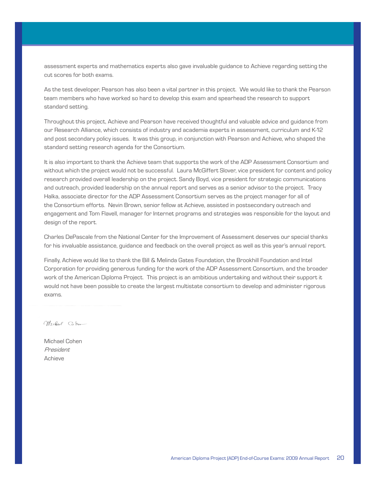assessment experts and mathematics experts also gave invaluable guidance to Achieve regarding setting the cut scores for both exams.

As the test developer, Pearson has also been a vital partner in this project. We would like to thank the Pearson team members who have worked so hard to develop this exam and spearhead the research to support standard setting.

Throughout this project, Achieve and Pearson have received thoughtful and valuable advice and guidance from our Research Alliance, which consists of industry and academia experts in assessment, curriculum and K-12 and post secondary policy issues. It was this group, in conjunction with Pearson and Achieve, who shaped the standard setting research agenda for the Consortium.

It is also important to thank the Achieve team that supports the work of the ADP Assessment Consortium and without which the project would not be successful. Laura McGiffert Slover, vice president for content and policy research provided overall leadership on the project. Sandy Boyd, vice president for strategic communications and outreach, provided leadership on the annual report and serves as a senior advisor to the project. Tracy Halka, associate director for the ADP Assessment Consortium serves as the project manager for all of the Consortium efforts. Nevin Brown, senior fellow at Achieve, assisted in postsecondary outreach and engagement and Tom Flavell, manager for Internet programs and strategies was responsible for the layout and design of the report.

Charles DePascale from the National Center for the Improvement of Assessment deserves our special thanks for his invaluable assistance, guidance and feedback on the overall project as well as this year's annual report.

Finally, Achieve would like to thank the Bill & Melinda Gates Foundation, the Brookhill Foundation and Intel Corporation for providing generous funding for the work of the ADP Assessment Consortium, and the broader work of the American Diploma Project. This project is an ambitious undertaking and without their support it would not have been possible to create the largest multistate consortium to develop and administer rigorous exams.

Michael Cohen

Michael Cohen President Achieve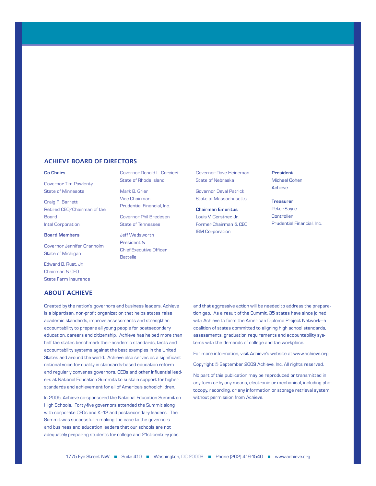#### **Achieve Board of Directors**

#### **Co-Chairs**

Governor Tim Pawlenty State of Minnesota

Craig R. Barrett Retired CEO/Chairman of the Board Intel Corporation

#### **Board Members**

Governor Jennifer Granholm State of Michigan

Edward B. Rust, Jr. Chairman & CEO State Farm Insurance

#### **ABOUT ACHIEVE**

Governor Donald L. Carcieri State of Rhode Island

Mark B. Grier Vice Chairman Prudential Financial, Inc.

Governor Phil Bredesen State of Tennessee

Jeff Wadsworth President & Chief Executive Officer Battelle

Governor Dave Heineman State of Nebraska

Governor Deval Patrick State of Massachusetts

**Chairman Emeritus** Louis V. Gerstner, Jr. Former Chairman & CEO IBM Corporation

**President**

Michael Cohen Achieve

**Treasurer**

Peter Sayre **Controller** Prudential Financial, Inc.

Created by the nation's governors and business leaders, Achieve is a bipartisan, non-profit organization that helps states raise academic standards, improve assessments and strengthen accountability to prepare all young people for postsecondary education, careers and citizenship. Achieve has helped more than half the states benchmark their academic standards, tests and accountability systems against the best examples in the United States and around the world. Achieve also serves as a significant national voice for quality in standards-based education reform and regularly convenes governors, CEOs and other influential leaders at National Education Summits to sustain support for higher standards and achievement for all of America's schoolchildren.

In 2005, Achieve co-sponsored the National Education Summit on High Schools. Forty-five governors attended the Summit along with corporate CEOs and K–12 and postsecondary leaders. The Summit was successful in making the case to the governors and business and education leaders that our schools are not adequately preparing students for college and 21st-century jobs

and that aggressive action will be needed to address the preparation gap. As a result of the Summit, 35 states have since joined with Achieve to form the American Diploma Project Network—a coalition of states committed to aligning high school standards, assessments, graduation requirements and accountability systems with the demands of college and the workplace.

For more information, visit Achieve's website at www.achieve.org.

Copyright © September 2009 Achieve, Inc. All rights reserved.

No part of this publication may be reproduced or transmitted in any form or by any means, electronic or mechanical, including photocopy, recording, or any information or storage retrieval system, without permission from Achieve.